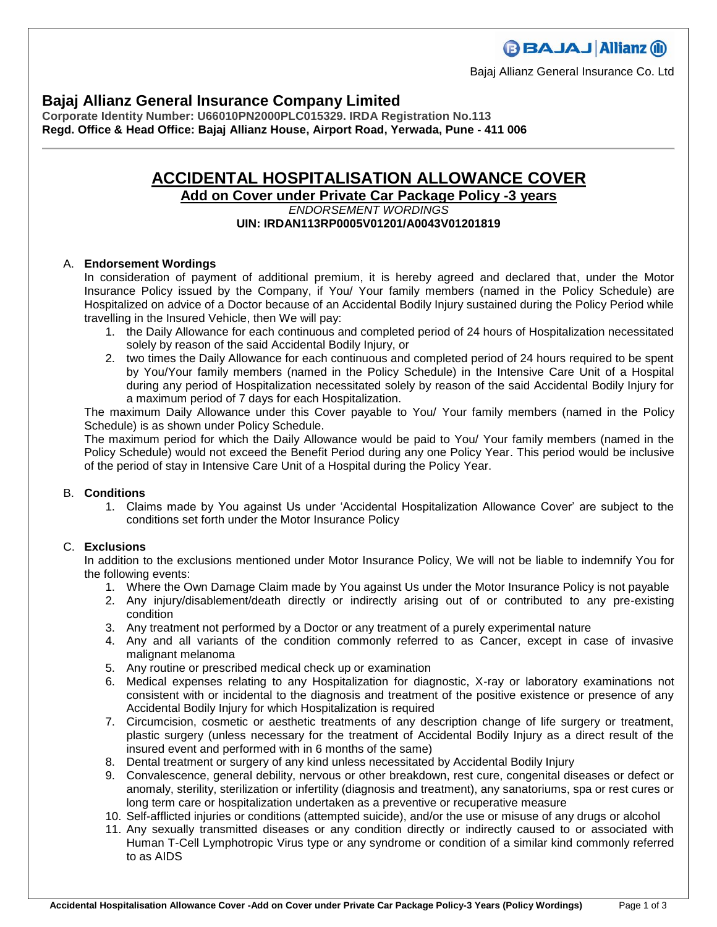Bajaj Allianz General Insurance Co. Ltd

## **Bajaj Allianz General Insurance Company Limited**

**Corporate Identity Number: U66010PN2000PLC015329. IRDA Registration No.113 Regd. Office & Head Office: Bajaj Allianz House, Airport Road, Yerwada, Pune - 411 006**

# **ACCIDENTAL HOSPITALISATION ALLOWANCE COVER**

**Add on Cover under Private Car Package Policy -3 years**

## *ENDORSEMENT WORDINGS* **UIN: IRDAN113RP0005V01201/A0043V01201819**

## A. **Endorsement Wordings**

In consideration of payment of additional premium, it is hereby agreed and declared that, under the Motor Insurance Policy issued by the Company, if You/ Your family members (named in the Policy Schedule) are Hospitalized on advice of a Doctor because of an Accidental Bodily Injury sustained during the Policy Period while travelling in the Insured Vehicle, then We will pay:

- 1. the Daily Allowance for each continuous and completed period of 24 hours of Hospitalization necessitated solely by reason of the said Accidental Bodily Injury, or
- 2. two times the Daily Allowance for each continuous and completed period of 24 hours required to be spent by You/Your family members (named in the Policy Schedule) in the Intensive Care Unit of a Hospital during any period of Hospitalization necessitated solely by reason of the said Accidental Bodily Injury for a maximum period of 7 days for each Hospitalization.

The maximum Daily Allowance under this Cover payable to You/ Your family members (named in the Policy Schedule) is as shown under Policy Schedule.

The maximum period for which the Daily Allowance would be paid to You/ Your family members (named in the Policy Schedule) would not exceed the Benefit Period during any one Policy Year. This period would be inclusive of the period of stay in Intensive Care Unit of a Hospital during the Policy Year.

#### B. **Conditions**

1. Claims made by You against Us under 'Accidental Hospitalization Allowance Cover' are subject to the conditions set forth under the Motor Insurance Policy

## C. **Exclusions**

In addition to the exclusions mentioned under Motor Insurance Policy, We will not be liable to indemnify You for the following events:

- 1. Where the Own Damage Claim made by You against Us under the Motor Insurance Policy is not payable
- 2. Any injury/disablement/death directly or indirectly arising out of or contributed to any pre-existing condition
- 3. Any treatment not performed by a Doctor or any treatment of a purely experimental nature
- 4. Any and all variants of the condition commonly referred to as Cancer, except in case of invasive malignant melanoma
- 5. Any routine or prescribed medical check up or examination
- 6. Medical expenses relating to any Hospitalization for diagnostic, X-ray or laboratory examinations not consistent with or incidental to the diagnosis and treatment of the positive existence or presence of any Accidental Bodily Injury for which Hospitalization is required
- 7. Circumcision, cosmetic or aesthetic treatments of any description change of life surgery or treatment, plastic surgery (unless necessary for the treatment of Accidental Bodily Injury as a direct result of the insured event and performed with in 6 months of the same)
- 8. Dental treatment or surgery of any kind unless necessitated by Accidental Bodily Injury
- 9. Convalescence, general debility, nervous or other breakdown, rest cure, congenital diseases or defect or anomaly, sterility, sterilization or infertility (diagnosis and treatment), any sanatoriums, spa or rest cures or long term care or hospitalization undertaken as a preventive or recuperative measure
- 10. Self-afflicted injuries or conditions (attempted suicide), and/or the use or misuse of any drugs or alcohol
- 11. Any sexually transmitted diseases or any condition directly or indirectly caused to or associated with Human T-Cell Lymphotropic Virus type or any syndrome or condition of a similar kind commonly referred to as AIDS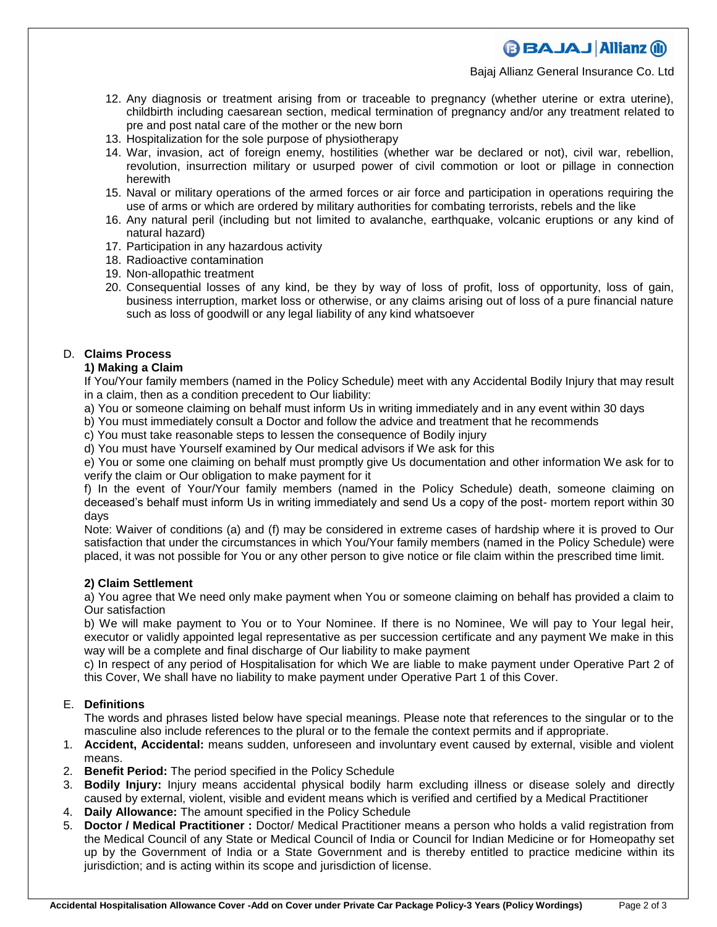## **BBAJAJ Allianz (il)**

Bajaj Allianz General Insurance Co. Ltd

- 12. Any diagnosis or treatment arising from or traceable to pregnancy (whether uterine or extra uterine), childbirth including caesarean section, medical termination of pregnancy and/or any treatment related to pre and post natal care of the mother or the new born
- 13. Hospitalization for the sole purpose of physiotherapy
- 14. War, invasion, act of foreign enemy, hostilities (whether war be declared or not), civil war, rebellion, revolution, insurrection military or usurped power of civil commotion or loot or pillage in connection herewith
- 15. Naval or military operations of the armed forces or air force and participation in operations requiring the use of arms or which are ordered by military authorities for combating terrorists, rebels and the like
- 16. Any natural peril (including but not limited to avalanche, earthquake, volcanic eruptions or any kind of natural hazard)
- 17. Participation in any hazardous activity
- 18. Radioactive contamination
- 19. Non-allopathic treatment
- 20. Consequential losses of any kind, be they by way of loss of profit, loss of opportunity, loss of gain, business interruption, market loss or otherwise, or any claims arising out of loss of a pure financial nature such as loss of goodwill or any legal liability of any kind whatsoever

## D. **Claims Process**

## **1) Making a Claim**

If You/Your family members (named in the Policy Schedule) meet with any Accidental Bodily Injury that may result in a claim, then as a condition precedent to Our liability:

a) You or someone claiming on behalf must inform Us in writing immediately and in any event within 30 days

b) You must immediately consult a Doctor and follow the advice and treatment that he recommends

c) You must take reasonable steps to lessen the consequence of Bodily injury

d) You must have Yourself examined by Our medical advisors if We ask for this

e) You or some one claiming on behalf must promptly give Us documentation and other information We ask for to verify the claim or Our obligation to make payment for it

f) In the event of Your/Your family members (named in the Policy Schedule) death, someone claiming on deceased's behalf must inform Us in writing immediately and send Us a copy of the post- mortem report within 30 days

Note: Waiver of conditions (a) and (f) may be considered in extreme cases of hardship where it is proved to Our satisfaction that under the circumstances in which You/Your family members (named in the Policy Schedule) were placed, it was not possible for You or any other person to give notice or file claim within the prescribed time limit.

#### **2) Claim Settlement**

a) You agree that We need only make payment when You or someone claiming on behalf has provided a claim to Our satisfaction

b) We will make payment to You or to Your Nominee. If there is no Nominee, We will pay to Your legal heir, executor or validly appointed legal representative as per succession certificate and any payment We make in this way will be a complete and final discharge of Our liability to make payment

c) In respect of any period of Hospitalisation for which We are liable to make payment under Operative Part 2 of this Cover, We shall have no liability to make payment under Operative Part 1 of this Cover.

## E. **Definitions**

The words and phrases listed below have special meanings. Please note that references to the singular or to the masculine also include references to the plural or to the female the context permits and if appropriate.

- 1. **Accident, Accidental:** means sudden, unforeseen and involuntary event caused by external, visible and violent means.
- 2. **Benefit Period:** The period specified in the Policy Schedule
- 3. **Bodily Injury:** Injury means accidental physical bodily harm excluding illness or disease solely and directly caused by external, violent, visible and evident means which is verified and certified by a Medical Practitioner
- 4. **Daily Allowance:** The amount specified in the Policy Schedule
- 5. **Doctor / Medical Practitioner :** Doctor/ Medical Practitioner means a person who holds a valid registration from the Medical Council of any State or Medical Council of India or Council for Indian Medicine or for Homeopathy set up by the Government of India or a State Government and is thereby entitled to practice medicine within its jurisdiction; and is acting within its scope and jurisdiction of license.